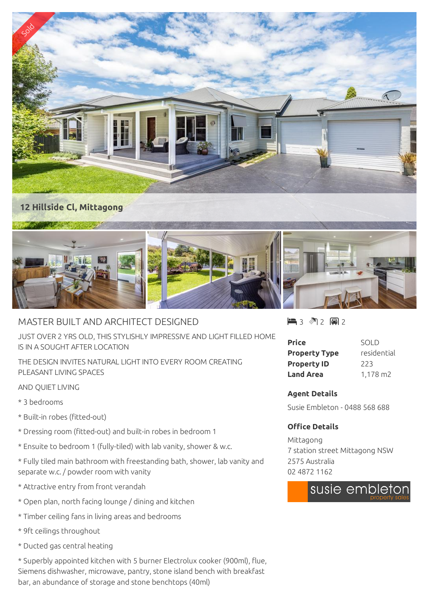

## MASTER BUILT AND ARCHITECT DESIGNED

JUST OVER 2 YRS OLD, THIS STYLISHLY IMPRESSIVE AND LIGHT FILLED HOME IS IN A SOUGHT AFTER LOCATION

THE DESIGN INVITES NATURAL LIGHT INTO EVERY ROOM CREATING PLEASANT LIVING SPACES

## AND QUIET LIVING

- \* 3 bedrooms
- \* Built-in robes (fitted-out)
- \* Dressing room (fitted-out) and built-in robes in bedroom 1
- \* Ensuite to bedroom 1 (fully-tiled) with lab vanity, shower & w.c.
- \* Fully tiled main bathroom with freestanding bath, shower, lab vanity and separate w.c. / powder room with vanity
- \* Attractive entry from front verandah
- \* Open plan, north facing lounge / dining and kitchen
- \* Timber ceiling fans in living areas and bedrooms
- \* 9ft ceilings throughout
- \* Ducted gas central heating

\* Superbly appointed kitchen with 5 burner Electrolux cooker (900ml), flue, Siemens dishwasher, microwave, pantry, stone island bench with breakfast bar, an abundance of storage and stone benchtops (40ml)

3 2 2

| Price                | SOLD        |
|----------------------|-------------|
| <b>Property Type</b> | residential |
| <b>Property ID</b>   | 223         |
| <b>Land Area</b>     | 1,178 m2    |

## **Agent Details**

Susie Embleton - 0488 568 688

## **Office Details**

Mittagong 7 station street Mittagong NSW 2575 Australia 02 4872 1162